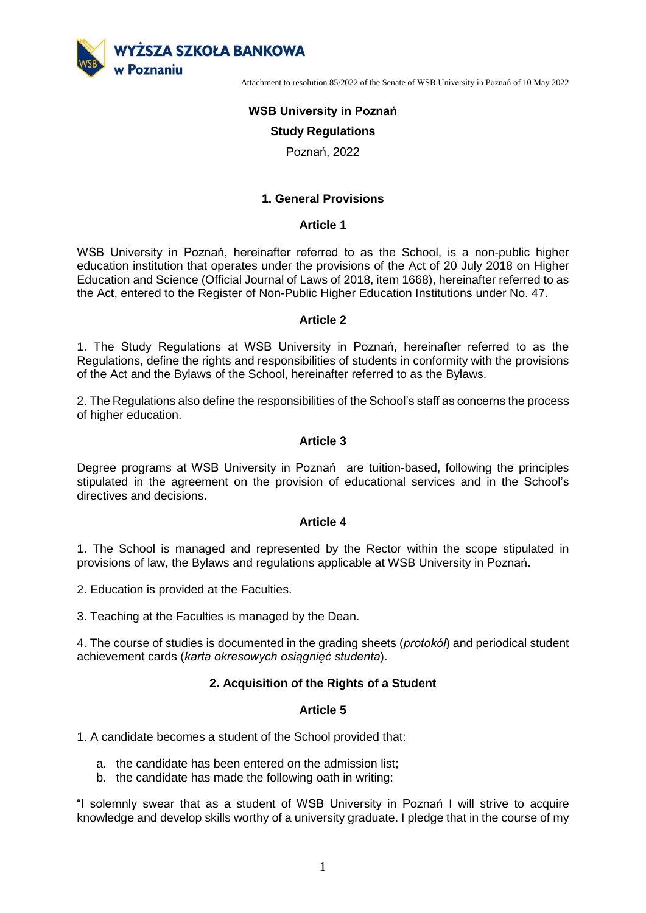

# **WSB University in Poznań**

### **Study Regulations**

Poznań, 2022

### **1. General Provisions**

#### **Article 1**

WSB University in Poznań, hereinafter referred to as the School, is a non-public higher education institution that operates under the provisions of the Act of 20 July 2018 on Higher Education and Science (Official Journal of Laws of 2018, item 1668), hereinafter referred to as the Act, entered to the Register of Non-Public Higher Education Institutions under No. 47.

#### **Article 2**

1. The Study Regulations at WSB University in Poznań, hereinafter referred to as the Regulations, define the rights and responsibilities of students in conformity with the provisions of the Act and the Bylaws of the School, hereinafter referred to as the Bylaws.

2. The Regulations also define the responsibilities of the School's staff as concerns the process of higher education.

#### **Article 3**

Degree programs at WSB University in Poznań are tuition-based, following the principles stipulated in the agreement on the provision of educational services and in the School's directives and decisions.

#### **Article 4**

1. The School is managed and represented by the Rector within the scope stipulated in provisions of law, the Bylaws and regulations applicable at WSB University in Poznań.

2. Education is provided at the Faculties.

3. Teaching at the Faculties is managed by the Dean.

4. The course of studies is documented in the grading sheets (*protokół*) and periodical student achievement cards (*karta okresowych osiągnięć studenta*).

#### **2. Acquisition of the Rights of a Student**

#### **Article 5**

1. A candidate becomes a student of the School provided that:

- a. the candidate has been entered on the admission list;
- b. the candidate has made the following oath in writing:

"I solemnly swear that as a student of WSB University in Poznań I will strive to acquire knowledge and develop skills worthy of a university graduate. I pledge that in the course of my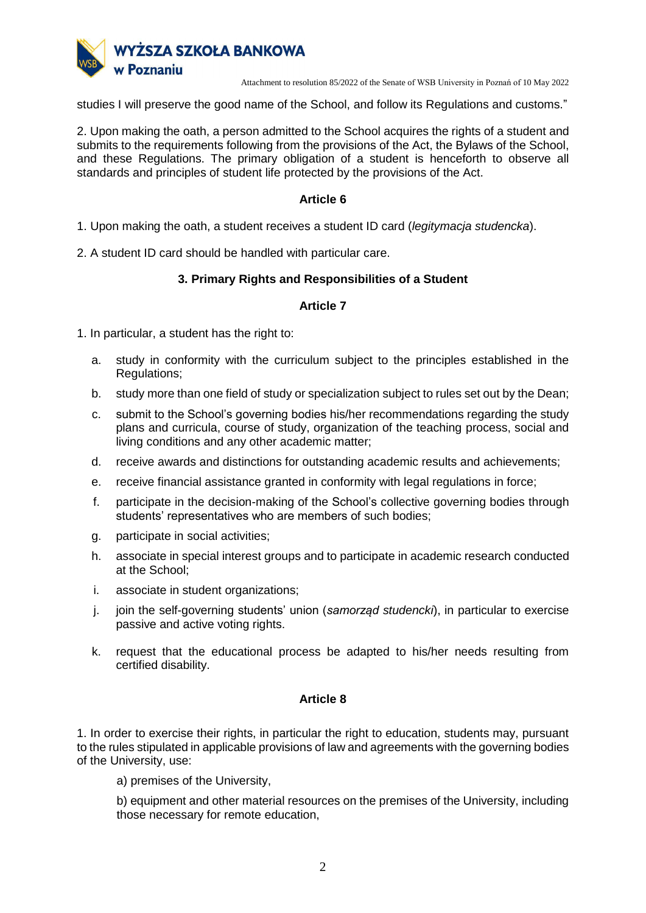

studies I will preserve the good name of the School, and follow its Regulations and customs."

2. Upon making the oath, a person admitted to the School acquires the rights of a student and submits to the requirements following from the provisions of the Act, the Bylaws of the School, and these Regulations. The primary obligation of a student is henceforth to observe all standards and principles of student life protected by the provisions of the Act.

# **Article 6**

- 1. Upon making the oath, a student receives a student ID card (*legitymacja studencka*).
- 2. A student ID card should be handled with particular care.

# **3. Primary Rights and Responsibilities of a Student**

### **Article 7**

1. In particular, a student has the right to:

- a. study in conformity with the curriculum subject to the principles established in the Regulations;
- b. study more than one field of study or specialization subject to rules set out by the Dean;
- c. submit to the School's governing bodies his/her recommendations regarding the study plans and curricula, course of study, organization of the teaching process, social and living conditions and any other academic matter;
- d. receive awards and distinctions for outstanding academic results and achievements;
- e. receive financial assistance granted in conformity with legal regulations in force;
- f. participate in the decision-making of the School's collective governing bodies through students' representatives who are members of such bodies;
- g. participate in social activities;
- h. associate in special interest groups and to participate in academic research conducted at the School;
- i. associate in student organizations;
- j. join the self-governing students' union (*samorząd studencki*), in particular to exercise passive and active voting rights.
- k. request that the educational process be adapted to his/her needs resulting from certified disability.

# **Article 8**

1. In order to exercise their rights, in particular the right to education, students may, pursuant to the rules stipulated in applicable provisions of law and agreements with the governing bodies of the University, use:

a) premises of the University,

b) equipment and other material resources on the premises of the University, including those necessary for remote education,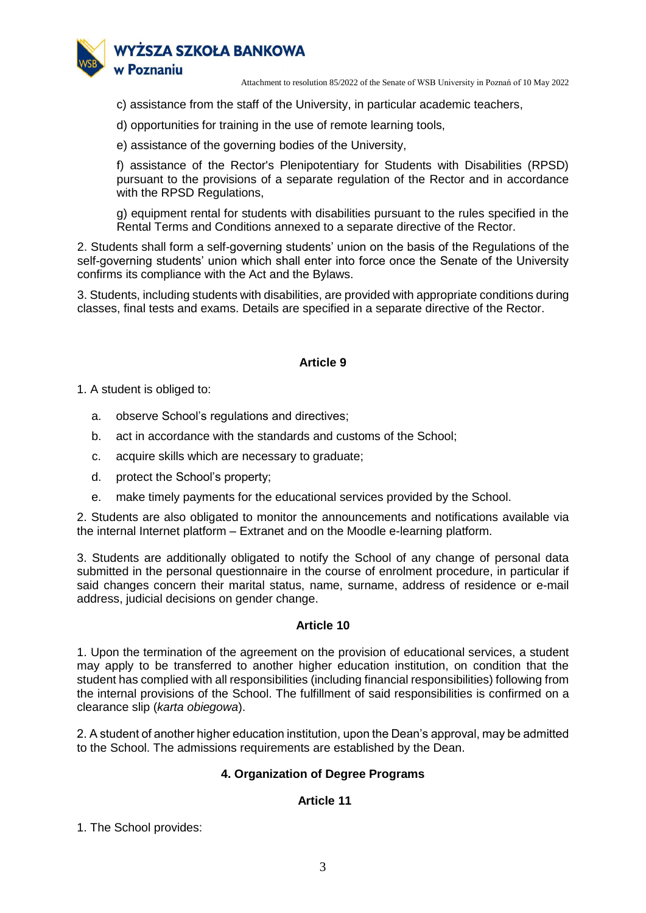

c) assistance from the staff of the University, in particular academic teachers,

d) opportunities for training in the use of remote learning tools,

e) assistance of the governing bodies of the University,

f) assistance of the Rector's Plenipotentiary for Students with Disabilities (RPSD) pursuant to the provisions of a separate regulation of the Rector and in accordance with the RPSD Regulations,

g) equipment rental for students with disabilities pursuant to the rules specified in the Rental Terms and Conditions annexed to a separate directive of the Rector.

2. Students shall form a self-governing students' union on the basis of the Regulations of the self-governing students' union which shall enter into force once the Senate of the University confirms its compliance with the Act and the Bylaws.

3. Students, including students with disabilities, are provided with appropriate conditions during classes, final tests and exams. Details are specified in a separate directive of the Rector.

# **Article 9**

1. A student is obliged to:

- a. observe School's regulations and directives;
- b. act in accordance with the standards and customs of the School;
- c. acquire skills which are necessary to graduate;
- d. protect the School's property;
- e. make timely payments for the educational services provided by the School.

2. Students are also obligated to monitor the announcements and notifications available via the internal Internet platform – Extranet and on the Moodle e-learning platform.

3. Students are additionally obligated to notify the School of any change of personal data submitted in the personal questionnaire in the course of enrolment procedure, in particular if said changes concern their marital status, name, surname, address of residence or e-mail address, judicial decisions on gender change.

# **Article 10**

1. Upon the termination of the agreement on the provision of educational services, a student may apply to be transferred to another higher education institution, on condition that the student has complied with all responsibilities (including financial responsibilities) following from the internal provisions of the School. The fulfillment of said responsibilities is confirmed on a clearance slip (*karta obiegowa*).

2. A student of another higher education institution, upon the Dean's approval, may be admitted to the School. The admissions requirements are established by the Dean.

# **4. Organization of Degree Programs**

# **Article 11**

1. The School provides: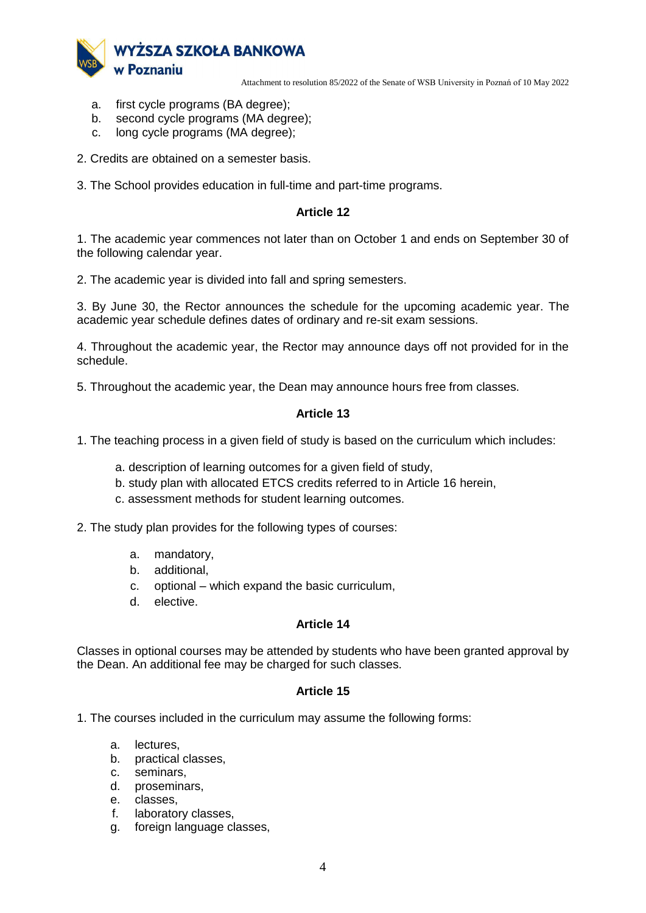

- a. first cycle programs (BA degree);
- b. second cycle programs (MA degree);
- c. long cycle programs (MA degree);
- 2. Credits are obtained on a semester basis.
- 3. The School provides education in full-time and part-time programs.

### **Article 12**

1. The academic year commences not later than on October 1 and ends on September 30 of the following calendar year.

2. The academic year is divided into fall and spring semesters.

3. By June 30, the Rector announces the schedule for the upcoming academic year. The academic year schedule defines dates of ordinary and re-sit exam sessions.

4. Throughout the academic year, the Rector may announce days off not provided for in the schedule.

5. Throughout the academic year, the Dean may announce hours free from classes.

### **Article 13**

- 1. The teaching process in a given field of study is based on the curriculum which includes:
	- a. description of learning outcomes for a given field of study,
	- b. study plan with allocated ETCS credits referred to in Article 16 herein,
	- c. assessment methods for student learning outcomes.

2. The study plan provides for the following types of courses:

- a. mandatory,
- b. additional,
- c. optional which expand the basic curriculum,
- d. elective.

#### **Article 14**

Classes in optional courses may be attended by students who have been granted approval by the Dean. An additional fee may be charged for such classes.

#### **Article 15**

1. The courses included in the curriculum may assume the following forms:

- a. lectures,
- b. practical classes,
- c. seminars,
- d. proseminars,
- e. classes,
- f. laboratory classes,
- foreign language classes.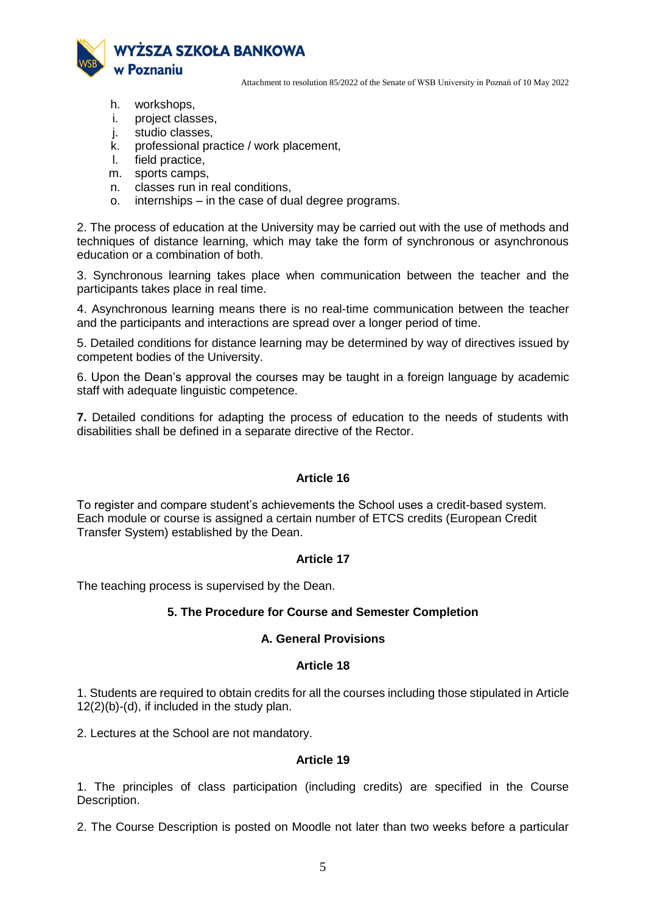

- h. workshops,
- i. project classes,
- j. studio classes,
- k. professional practice / work placement,
- l. field practice,
- m. sports camps,
- n. classes run in real conditions,
- o. internships in the case of dual degree programs.

2. The process of education at the University may be carried out with the use of methods and techniques of distance learning, which may take the form of synchronous or asynchronous education or a combination of both.

3. Synchronous learning takes place when communication between the teacher and the participants takes place in real time.

4. Asynchronous learning means there is no real-time communication between the teacher and the participants and interactions are spread over a longer period of time.

5. Detailed conditions for distance learning may be determined by way of directives issued by competent bodies of the University.

6. Upon the Dean's approval the courses may be taught in a foreign language by academic staff with adequate linguistic competence.

**7.** Detailed conditions for adapting the process of education to the needs of students with disabilities shall be defined in a separate directive of the Rector.

# **Article 16**

To register and compare student's achievements the School uses a credit-based system. Each module or course is assigned a certain number of ETCS credits (European Credit Transfer System) established by the Dean.

# **Article 17**

The teaching process is supervised by the Dean.

#### **5. The Procedure for Course and Semester Completion**

#### **A. General Provisions**

#### **Article 18**

1. Students are required to obtain credits for all the courses including those stipulated in Article 12(2)(b)-(d), if included in the study plan.

2. Lectures at the School are not mandatory.

### **Article 19**

1. The principles of class participation (including credits) are specified in the Course Description.

2. The Course Description is posted on Moodle not later than two weeks before a particular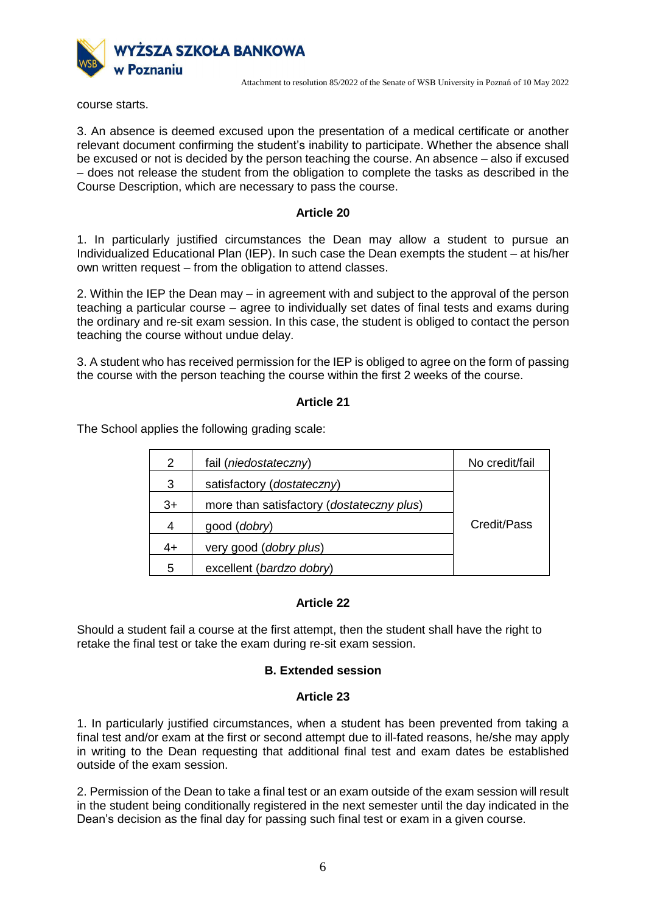

course starts.

3. An absence is deemed excused upon the presentation of a medical certificate or another relevant document confirming the student's inability to participate. Whether the absence shall be excused or not is decided by the person teaching the course. An absence – also if excused – does not release the student from the obligation to complete the tasks as described in the Course Description, which are necessary to pass the course.

### **Article 20**

1. In particularly justified circumstances the Dean may allow a student to pursue an Individualized Educational Plan (IEP). In such case the Dean exempts the student – at his/her own written request – from the obligation to attend classes.

2. Within the IEP the Dean may – in agreement with and subject to the approval of the person teaching a particular course – agree to individually set dates of final tests and exams during the ordinary and re-sit exam session. In this case, the student is obliged to contact the person teaching the course without undue delay.

3. A student who has received permission for the IEP is obliged to agree on the form of passing the course with the person teaching the course within the first 2 weeks of the course.

### **Article 21**

The School applies the following grading scale:

| 2    | fail (niedostateczny)                     | No credit/fail |
|------|-------------------------------------------|----------------|
| 3    | satisfactory (dostateczny)                |                |
| $3+$ | more than satisfactory (dostateczny plus) |                |
| 4    | good ( <i>dobry</i> )                     | Credit/Pass    |
| 4+   | very good (dobry plus)                    |                |
| 5    | excellent (bardzo dobry)                  |                |

# **Article 22**

Should a student fail a course at the first attempt, then the student shall have the right to retake the final test or take the exam during re-sit exam session.

# **B. Extended session**

#### **Article 23**

1. In particularly justified circumstances, when a student has been prevented from taking a final test and/or exam at the first or second attempt due to ill-fated reasons, he/she may apply in writing to the Dean requesting that additional final test and exam dates be established outside of the exam session.

2. Permission of the Dean to take a final test or an exam outside of the exam session will result in the student being conditionally registered in the next semester until the day indicated in the Dean's decision as the final day for passing such final test or exam in a given course.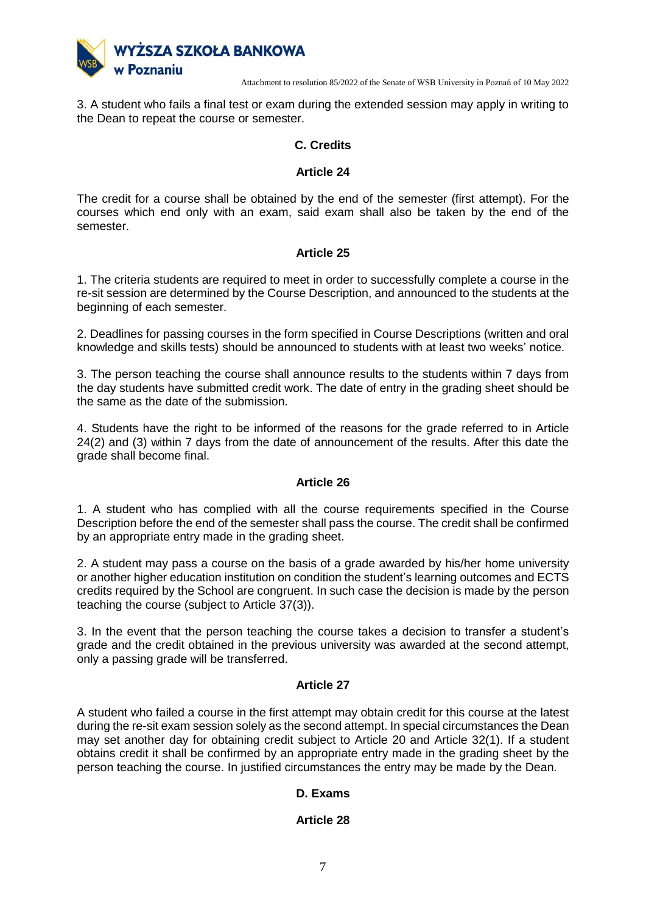

3. A student who fails a final test or exam during the extended session may apply in writing to the Dean to repeat the course or semester.

# **C. Credits**

### **Article 24**

The credit for a course shall be obtained by the end of the semester (first attempt). For the courses which end only with an exam, said exam shall also be taken by the end of the semester.

# **Article 25**

1. The criteria students are required to meet in order to successfully complete a course in the re-sit session are determined by the Course Description, and announced to the students at the beginning of each semester.

2. Deadlines for passing courses in the form specified in Course Descriptions (written and oral knowledge and skills tests) should be announced to students with at least two weeks' notice.

3. The person teaching the course shall announce results to the students within 7 days from the day students have submitted credit work. The date of entry in the grading sheet should be the same as the date of the submission.

4. Students have the right to be informed of the reasons for the grade referred to in Article 24(2) and (3) within 7 days from the date of announcement of the results. After this date the grade shall become final.

# **Article 26**

1. A student who has complied with all the course requirements specified in the Course Description before the end of the semester shall pass the course. The credit shall be confirmed by an appropriate entry made in the grading sheet.

2. A student may pass a course on the basis of a grade awarded by his/her home university or another higher education institution on condition the student's learning outcomes and ECTS credits required by the School are congruent. In such case the decision is made by the person teaching the course (subject to Article 37(3)).

3. In the event that the person teaching the course takes a decision to transfer a student's grade and the credit obtained in the previous university was awarded at the second attempt, only a passing grade will be transferred.

#### **Article 27**

A student who failed a course in the first attempt may obtain credit for this course at the latest during the re-sit exam session solely as the second attempt. In special circumstances the Dean may set another day for obtaining credit subject to Article 20 and Article 32(1). If a student obtains credit it shall be confirmed by an appropriate entry made in the grading sheet by the person teaching the course. In justified circumstances the entry may be made by the Dean.

# **D. Exams**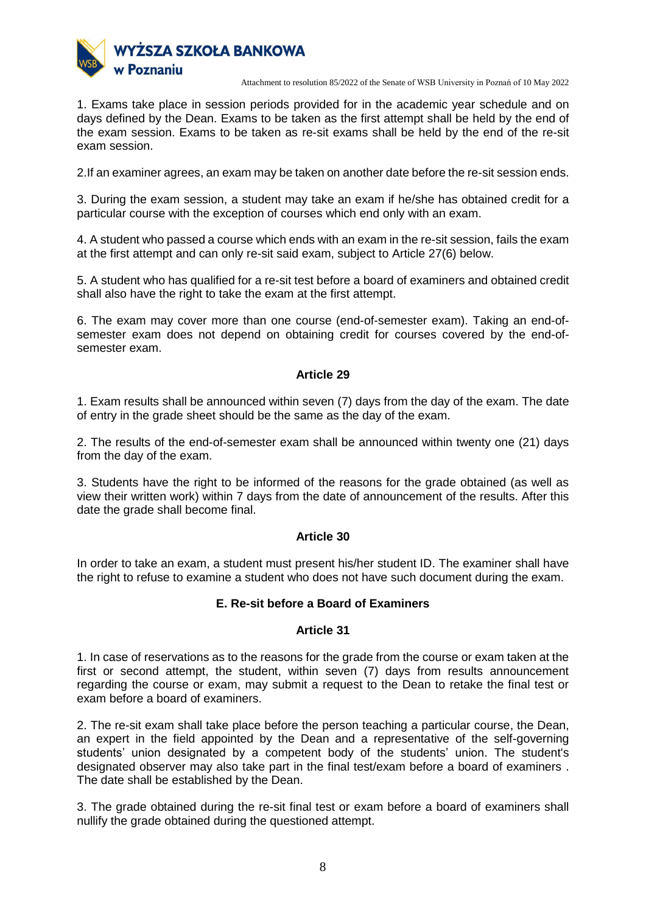

1. Exams take place in session periods provided for in the academic year schedule and on days defined by the Dean. Exams to be taken as the first attempt shall be held by the end of the exam session. Exams to be taken as re-sit exams shall be held by the end of the re-sit exam session.

2.If an examiner agrees, an exam may be taken on another date before the re-sit session ends.

3. During the exam session, a student may take an exam if he/she has obtained credit for a particular course with the exception of courses which end only with an exam.

4. A student who passed a course which ends with an exam in the re-sit session, fails the exam at the first attempt and can only re-sit said exam, subject to Article 27(6) below.

5. A student who has qualified for a re-sit test before a board of examiners and obtained credit shall also have the right to take the exam at the first attempt.

6. The exam may cover more than one course (end-of-semester exam). Taking an end-ofsemester exam does not depend on obtaining credit for courses covered by the end-ofsemester exam.

# **Article 29**

1. Exam results shall be announced within seven (7) days from the day of the exam. The date of entry in the grade sheet should be the same as the day of the exam.

2. The results of the end-of-semester exam shall be announced within twenty one (21) days from the day of the exam.

3. Students have the right to be informed of the reasons for the grade obtained (as well as view their written work) within 7 days from the date of announcement of the results. After this date the grade shall become final.

#### **Article 30**

In order to take an exam, a student must present his/her student ID. The examiner shall have the right to refuse to examine a student who does not have such document during the exam.

### **E. Re-sit before a Board of Examiners**

#### **Article 31**

1. In case of reservations as to the reasons for the grade from the course or exam taken at the first or second attempt, the student, within seven (7) days from results announcement regarding the course or exam, may submit a request to the Dean to retake the final test or exam before a board of examiners.

2. The re-sit exam shall take place before the person teaching a particular course, the Dean, an expert in the field appointed by the Dean and a representative of the self-governing students' union designated by a competent body of the students' union. The student's designated observer may also take part in the final test/exam before a board of examiners . The date shall be established by the Dean.

3. The grade obtained during the re-sit final test or exam before a board of examiners shall nullify the grade obtained during the questioned attempt.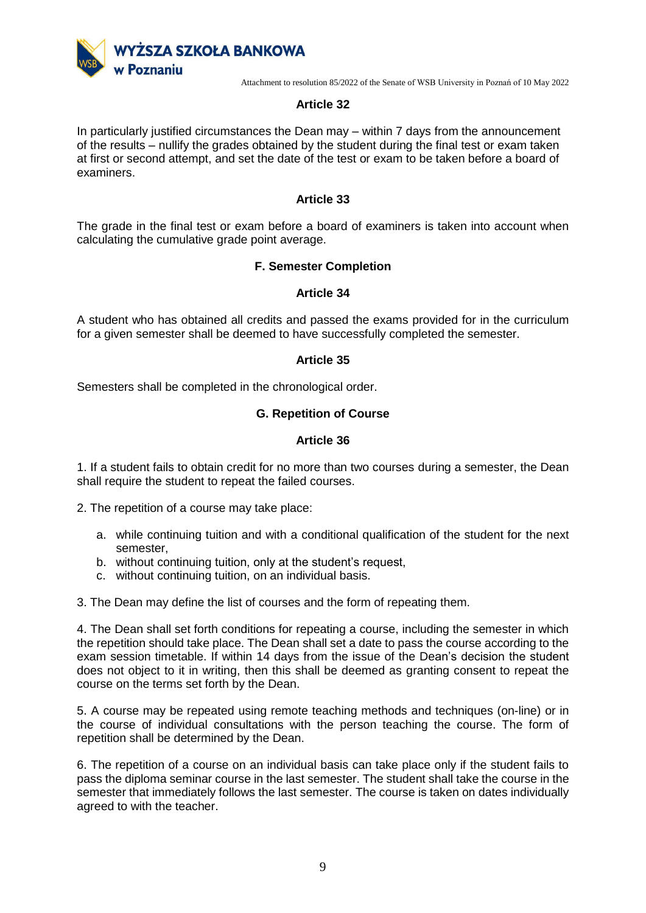

### **Article 32**

In particularly justified circumstances the Dean may – within 7 days from the announcement of the results – nullify the grades obtained by the student during the final test or exam taken at first or second attempt, and set the date of the test or exam to be taken before a board of examiners.

### **Article 33**

The grade in the final test or exam before a board of examiners is taken into account when calculating the cumulative grade point average.

### **F. Semester Completion**

#### **Article 34**

A student who has obtained all credits and passed the exams provided for in the curriculum for a given semester shall be deemed to have successfully completed the semester.

#### **Article 35**

Semesters shall be completed in the chronological order.

### **G. Repetition of Course**

### **Article 36**

1. If a student fails to obtain credit for no more than two courses during a semester, the Dean shall require the student to repeat the failed courses.

2. The repetition of a course may take place:

- a. while continuing tuition and with a conditional qualification of the student for the next semester,
- b. without continuing tuition, only at the student's request,
- c. without continuing tuition, on an individual basis.

3. The Dean may define the list of courses and the form of repeating them.

4. The Dean shall set forth conditions for repeating a course, including the semester in which the repetition should take place. The Dean shall set a date to pass the course according to the exam session timetable. If within 14 days from the issue of the Dean's decision the student does not object to it in writing, then this shall be deemed as granting consent to repeat the course on the terms set forth by the Dean.

5. A course may be repeated using remote teaching methods and techniques (on-line) or in the course of individual consultations with the person teaching the course. The form of repetition shall be determined by the Dean.

6. The repetition of a course on an individual basis can take place only if the student fails to pass the diploma seminar course in the last semester. The student shall take the course in the semester that immediately follows the last semester. The course is taken on dates individually agreed to with the teacher.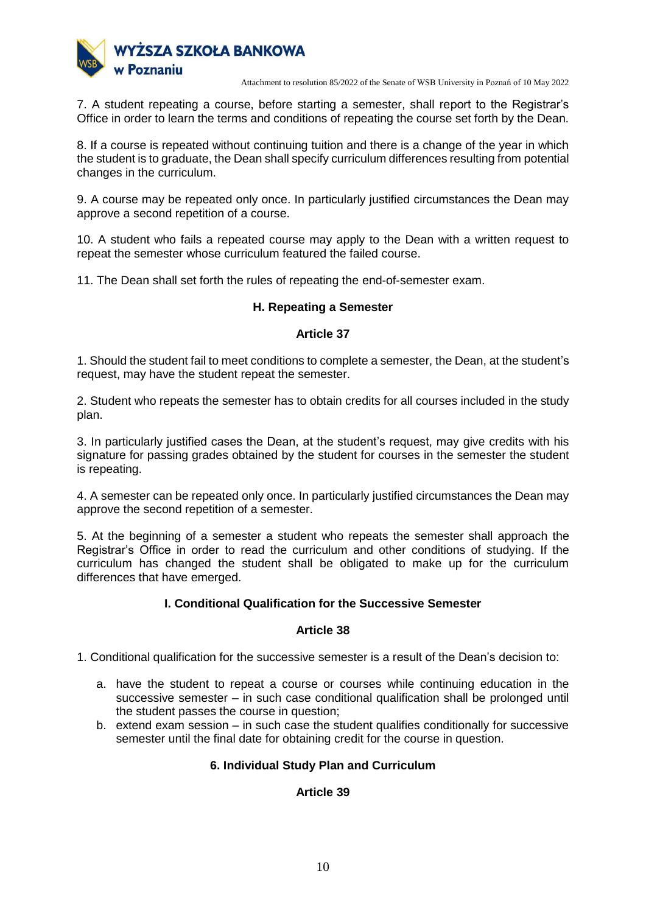

7. A student repeating a course, before starting a semester, shall report to the Registrar's Office in order to learn the terms and conditions of repeating the course set forth by the Dean.

8. If a course is repeated without continuing tuition and there is a change of the year in which the student is to graduate, the Dean shall specify curriculum differences resulting from potential changes in the curriculum.

9. A course may be repeated only once. In particularly justified circumstances the Dean may approve a second repetition of a course.

10. A student who fails a repeated course may apply to the Dean with a written request to repeat the semester whose curriculum featured the failed course.

11. The Dean shall set forth the rules of repeating the end-of-semester exam.

# **H. Repeating a Semester**

### **Article 37**

1. Should the student fail to meet conditions to complete a semester, the Dean, at the student's request, may have the student repeat the semester.

2. Student who repeats the semester has to obtain credits for all courses included in the study plan.

3. In particularly justified cases the Dean, at the student's request, may give credits with his signature for passing grades obtained by the student for courses in the semester the student is repeating.

4. A semester can be repeated only once. In particularly justified circumstances the Dean may approve the second repetition of a semester.

5. At the beginning of a semester a student who repeats the semester shall approach the Registrar's Office in order to read the curriculum and other conditions of studying. If the curriculum has changed the student shall be obligated to make up for the curriculum differences that have emerged.

# **I. Conditional Qualification for the Successive Semester**

#### **Article 38**

1. Conditional qualification for the successive semester is a result of the Dean's decision to:

- a. have the student to repeat a course or courses while continuing education in the successive semester – in such case conditional qualification shall be prolonged until the student passes the course in question;
- b. extend exam session in such case the student qualifies conditionally for successive semester until the final date for obtaining credit for the course in question.

# **6. Individual Study Plan and Curriculum**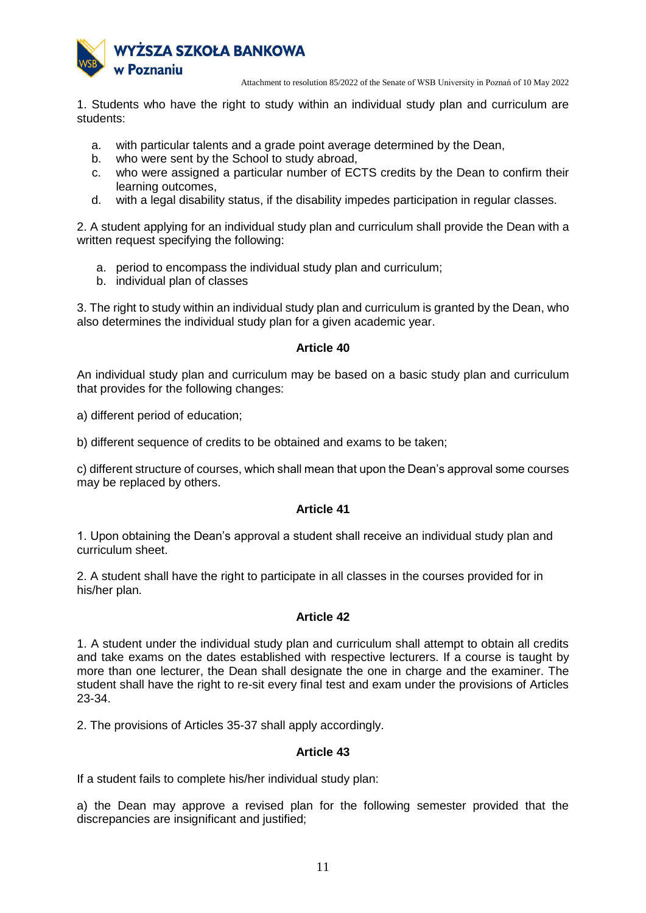

1. Students who have the right to study within an individual study plan and curriculum are students:

- a. with particular talents and a grade point average determined by the Dean,
- b. who were sent by the School to study abroad,
- c. who were assigned a particular number of ECTS credits by the Dean to confirm their learning outcomes,
- d. with a legal disability status, if the disability impedes participation in regular classes.

2. A student applying for an individual study plan and curriculum shall provide the Dean with a written request specifying the following:

- a. period to encompass the individual study plan and curriculum;
- b. individual plan of classes

3. The right to study within an individual study plan and curriculum is granted by the Dean, who also determines the individual study plan for a given academic year.

### **Article 40**

An individual study plan and curriculum may be based on a basic study plan and curriculum that provides for the following changes:

a) different period of education;

b) different sequence of credits to be obtained and exams to be taken;

c) different structure of courses, which shall mean that upon the Dean's approval some courses may be replaced by others.

# **Article 41**

1. Upon obtaining the Dean's approval a student shall receive an individual study plan and curriculum sheet.

2. A student shall have the right to participate in all classes in the courses provided for in his/her plan.

# **Article 42**

1. A student under the individual study plan and curriculum shall attempt to obtain all credits and take exams on the dates established with respective lecturers. If a course is taught by more than one lecturer, the Dean shall designate the one in charge and the examiner. The student shall have the right to re-sit every final test and exam under the provisions of Articles 23-34.

2. The provisions of Articles 35-37 shall apply accordingly.

# **Article 43**

If a student fails to complete his/her individual study plan:

a) the Dean may approve a revised plan for the following semester provided that the discrepancies are insignificant and justified;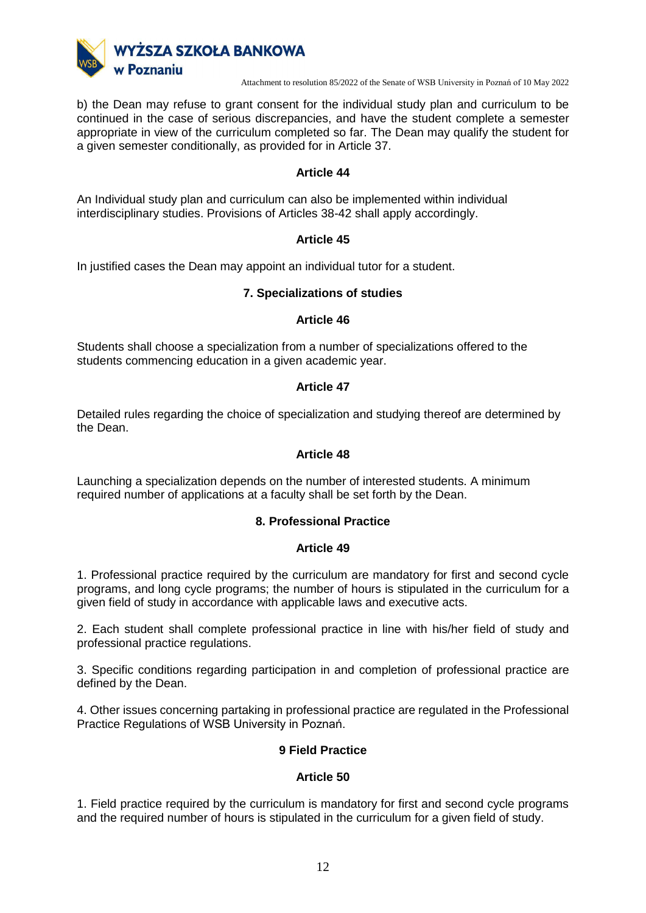

b) the Dean may refuse to grant consent for the individual study plan and curriculum to be continued in the case of serious discrepancies, and have the student complete a semester appropriate in view of the curriculum completed so far. The Dean may qualify the student for a given semester conditionally, as provided for in Article 37.

# **Article 44**

An Individual study plan and curriculum can also be implemented within individual interdisciplinary studies. Provisions of Articles 38-42 shall apply accordingly.

# **Article 45**

In justified cases the Dean may appoint an individual tutor for a student.

### **7. Specializations of studies**

#### **Article 46**

Students shall choose a specialization from a number of specializations offered to the students commencing education in a given academic year.

### **Article 47**

Detailed rules regarding the choice of specialization and studying thereof are determined by the Dean.

### **Article 48**

Launching a specialization depends on the number of interested students. A minimum required number of applications at a faculty shall be set forth by the Dean.

# **8. Professional Practice**

#### **Article 49**

1. Professional practice required by the curriculum are mandatory for first and second cycle programs, and long cycle programs; the number of hours is stipulated in the curriculum for a given field of study in accordance with applicable laws and executive acts.

2. Each student shall complete professional practice in line with his/her field of study and professional practice regulations.

3. Specific conditions regarding participation in and completion of professional practice are defined by the Dean.

4. Other issues concerning partaking in professional practice are regulated in the Professional Practice Regulations of WSB University in Poznań.

# **9 Field Practice**

# **Article 50**

1. Field practice required by the curriculum is mandatory for first and second cycle programs and the required number of hours is stipulated in the curriculum for a given field of study.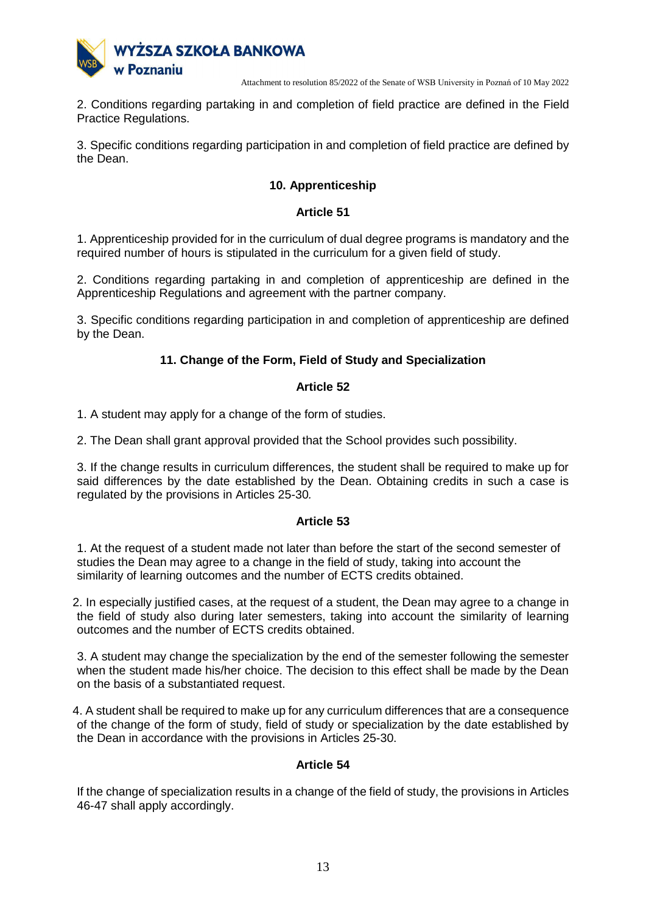

2. Conditions regarding partaking in and completion of field practice are defined in the Field Practice Regulations.

3. Specific conditions regarding participation in and completion of field practice are defined by the Dean.

# **10. Apprenticeship**

### **Article 51**

1. Apprenticeship provided for in the curriculum of dual degree programs is mandatory and the required number of hours is stipulated in the curriculum for a given field of study.

2. Conditions regarding partaking in and completion of apprenticeship are defined in the Apprenticeship Regulations and agreement with the partner company.

3. Specific conditions regarding participation in and completion of apprenticeship are defined by the Dean.

# **11. Change of the Form, Field of Study and Specialization**

# **Article 52**

1. A student may apply for a change of the form of studies.

2. The Dean shall grant approval provided that the School provides such possibility.

3. If the change results in curriculum differences, the student shall be required to make up for said differences by the date established by the Dean. Obtaining credits in such a case is regulated by the provisions in Articles 25-30*.*

# **Article 53**

1. At the request of a student made not later than before the start of the second semester of studies the Dean may agree to a change in the field of study, taking into account the similarity of learning outcomes and the number of ECTS credits obtained.

2. In especially justified cases, at the request of a student, the Dean may agree to a change in the field of study also during later semesters, taking into account the similarity of learning outcomes and the number of ECTS credits obtained.

3. A student may change the specialization by the end of the semester following the semester when the student made his/her choice. The decision to this effect shall be made by the Dean on the basis of a substantiated request.

4. A student shall be required to make up for any curriculum differences that are a consequence of the change of the form of study, field of study or specialization by the date established by the Dean in accordance with the provisions in Articles 25-30.

# **Article 54**

If the change of specialization results in a change of the field of study, the provisions in Articles 46-47 shall apply accordingly.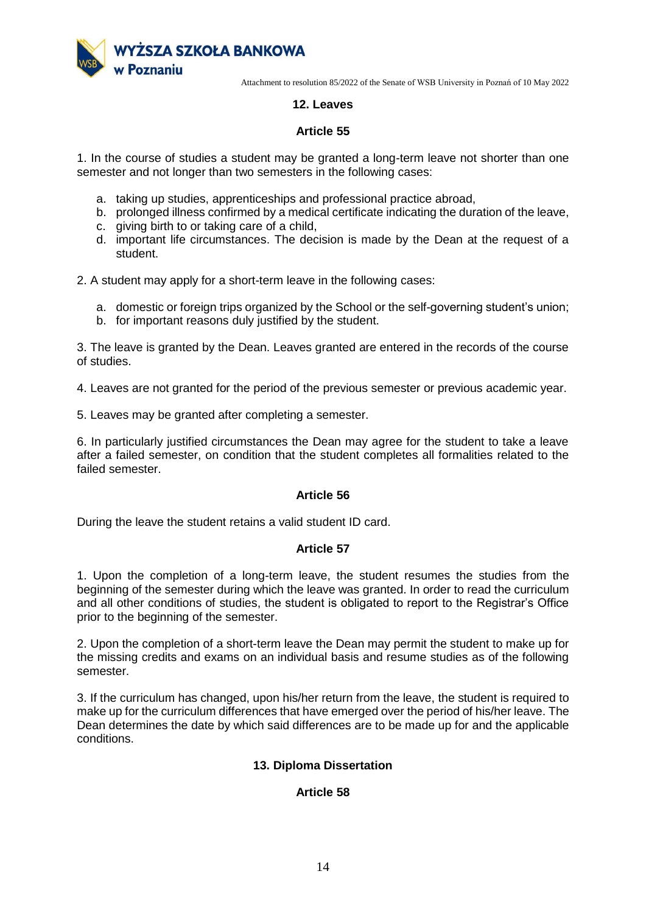

# **12. Leaves**

# **Article 55**

1. In the course of studies a student may be granted a long-term leave not shorter than one semester and not longer than two semesters in the following cases:

- a. taking up studies, apprenticeships and professional practice abroad,
- b. prolonged illness confirmed by a medical certificate indicating the duration of the leave,
- c. giving birth to or taking care of a child,
- d. important life circumstances. The decision is made by the Dean at the request of a student.

2. A student may apply for a short-term leave in the following cases:

- a. domestic or foreign trips organized by the School or the self-governing student's union;
- b. for important reasons duly justified by the student.

3. The leave is granted by the Dean. Leaves granted are entered in the records of the course of studies.

4. Leaves are not granted for the period of the previous semester or previous academic year.

5. Leaves may be granted after completing a semester.

6. In particularly justified circumstances the Dean may agree for the student to take a leave after a failed semester, on condition that the student completes all formalities related to the failed semester.

# **Article 56**

During the leave the student retains a valid student ID card.

# **Article 57**

1. Upon the completion of a long-term leave, the student resumes the studies from the beginning of the semester during which the leave was granted. In order to read the curriculum and all other conditions of studies, the student is obligated to report to the Registrar's Office prior to the beginning of the semester.

2. Upon the completion of a short-term leave the Dean may permit the student to make up for the missing credits and exams on an individual basis and resume studies as of the following semester.

3. If the curriculum has changed, upon his/her return from the leave, the student is required to make up for the curriculum differences that have emerged over the period of his/her leave. The Dean determines the date by which said differences are to be made up for and the applicable conditions.

# **13. Diploma Dissertation**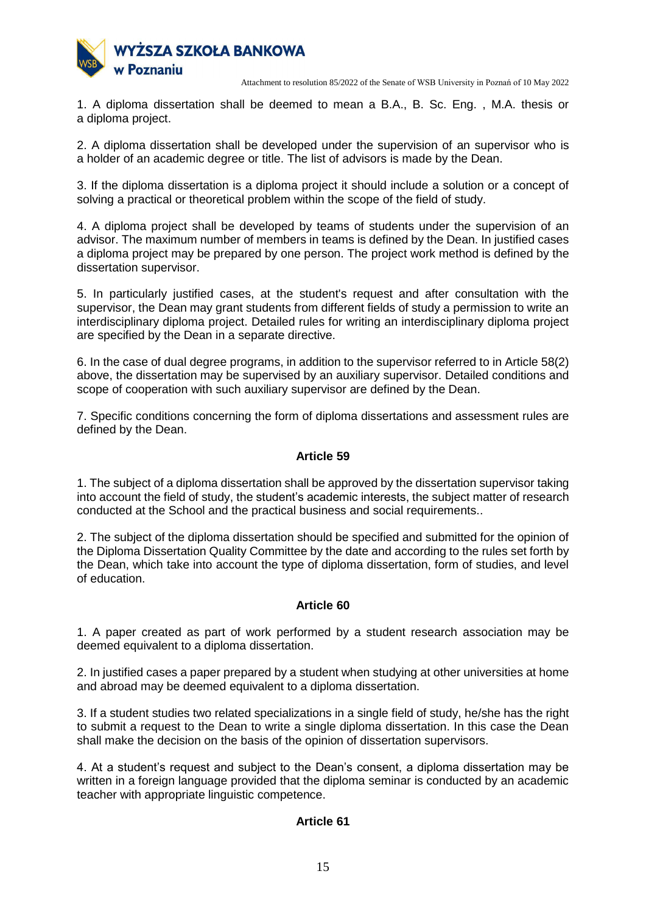

1. A diploma dissertation shall be deemed to mean a B.A., B. Sc. Eng. , M.A. thesis or a diploma project.

2. A diploma dissertation shall be developed under the supervision of an supervisor who is a holder of an academic degree or title. The list of advisors is made by the Dean.

3. If the diploma dissertation is a diploma project it should include a solution or a concept of solving a practical or theoretical problem within the scope of the field of study.

4. A diploma project shall be developed by teams of students under the supervision of an advisor. The maximum number of members in teams is defined by the Dean. In justified cases a diploma project may be prepared by one person. The project work method is defined by the dissertation supervisor.

5. In particularly justified cases, at the student's request and after consultation with the supervisor, the Dean may grant students from different fields of study a permission to write an interdisciplinary diploma project. Detailed rules for writing an interdisciplinary diploma project are specified by the Dean in a separate directive.

6. In the case of dual degree programs, in addition to the supervisor referred to in Article 58(2) above, the dissertation may be supervised by an auxiliary supervisor. Detailed conditions and scope of cooperation with such auxiliary supervisor are defined by the Dean.

7. Specific conditions concerning the form of diploma dissertations and assessment rules are defined by the Dean.

# **Article 59**

1. The subject of a diploma dissertation shall be approved by the dissertation supervisor taking into account the field of study, the student's academic interests, the subject matter of research conducted at the School and the practical business and social requirements..

2. The subject of the diploma dissertation should be specified and submitted for the opinion of the Diploma Dissertation Quality Committee by the date and according to the rules set forth by the Dean, which take into account the type of diploma dissertation, form of studies, and level of education.

# **Article 60**

1. A paper created as part of work performed by a student research association may be deemed equivalent to a diploma dissertation.

2. In justified cases a paper prepared by a student when studying at other universities at home and abroad may be deemed equivalent to a diploma dissertation.

3. If a student studies two related specializations in a single field of study, he/she has the right to submit a request to the Dean to write a single diploma dissertation. In this case the Dean shall make the decision on the basis of the opinion of dissertation supervisors.

4. At a student's request and subject to the Dean's consent, a diploma dissertation may be written in a foreign language provided that the diploma seminar is conducted by an academic teacher with appropriate linguistic competence.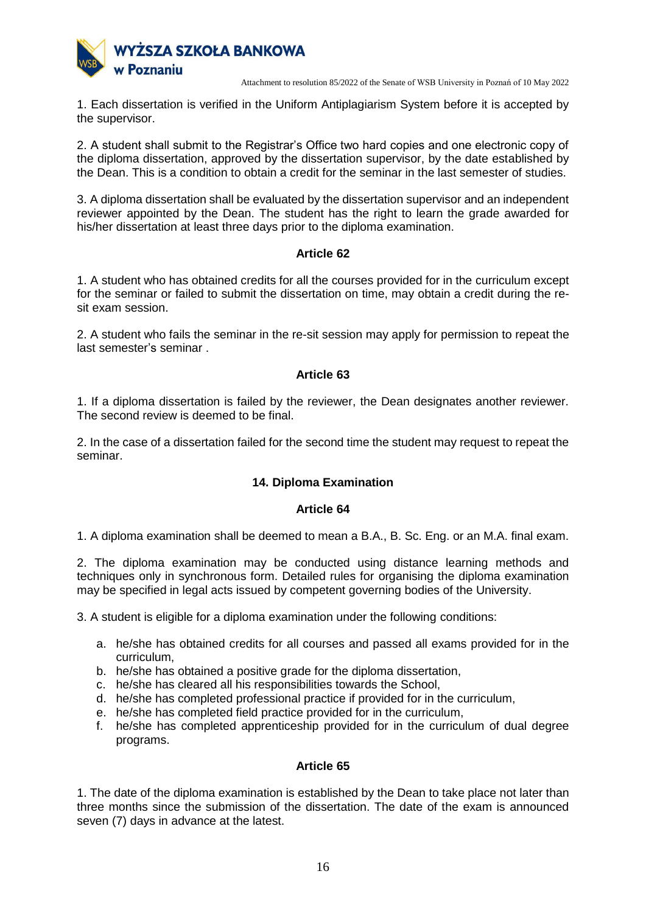

1. Each dissertation is verified in the Uniform Antiplagiarism System before it is accepted by the supervisor.

2. A student shall submit to the Registrar's Office two hard copies and one electronic copy of the diploma dissertation, approved by the dissertation supervisor, by the date established by the Dean. This is a condition to obtain a credit for the seminar in the last semester of studies.

3. A diploma dissertation shall be evaluated by the dissertation supervisor and an independent reviewer appointed by the Dean. The student has the right to learn the grade awarded for his/her dissertation at least three days prior to the diploma examination.

# **Article 62**

1. A student who has obtained credits for all the courses provided for in the curriculum except for the seminar or failed to submit the dissertation on time, may obtain a credit during the resit exam session.

2. A student who fails the seminar in the re-sit session may apply for permission to repeat the last semester's seminar .

# **Article 63**

1. If a diploma dissertation is failed by the reviewer, the Dean designates another reviewer. The second review is deemed to be final.

2. In the case of a dissertation failed for the second time the student may request to repeat the seminar.

# **14. Diploma Examination**

# **Article 64**

1. A diploma examination shall be deemed to mean a B.A., B. Sc. Eng. or an M.A. final exam.

2. The diploma examination may be conducted using distance learning methods and techniques only in synchronous form. Detailed rules for organising the diploma examination may be specified in legal acts issued by competent governing bodies of the University.

3. A student is eligible for a diploma examination under the following conditions:

- a. he/she has obtained credits for all courses and passed all exams provided for in the curriculum,
- b. he/she has obtained a positive grade for the diploma dissertation,
- c. he/she has cleared all his responsibilities towards the School,
- d. he/she has completed professional practice if provided for in the curriculum,
- e. he/she has completed field practice provided for in the curriculum,
- f. he/she has completed apprenticeship provided for in the curriculum of dual degree programs.

# **Article 65**

1. The date of the diploma examination is established by the Dean to take place not later than three months since the submission of the dissertation. The date of the exam is announced seven (7) days in advance at the latest.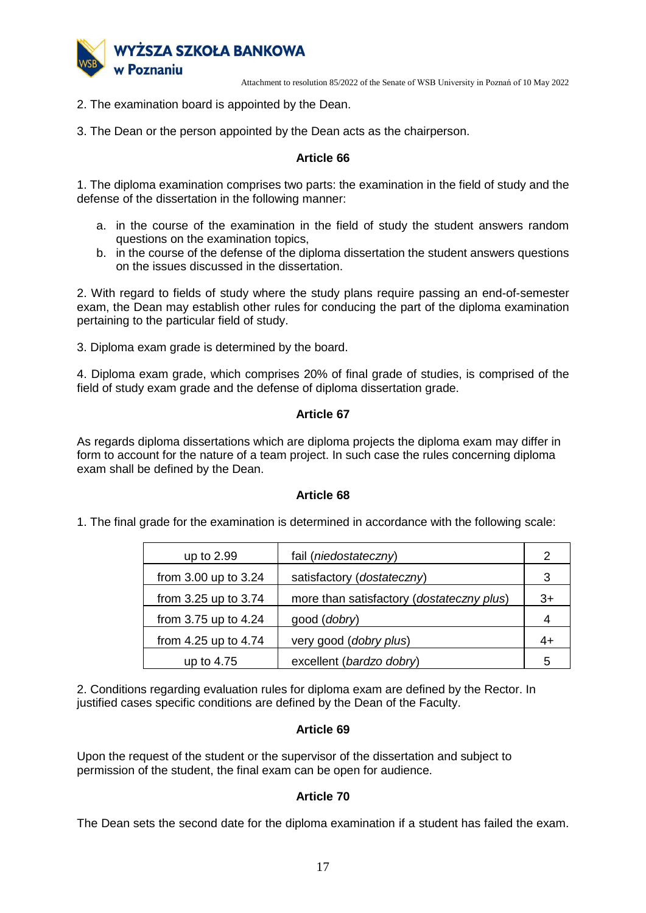

2. The examination board is appointed by the Dean.

3. The Dean or the person appointed by the Dean acts as the chairperson.

# **Article 66**

1. The diploma examination comprises two parts: the examination in the field of study and the defense of the dissertation in the following manner:

- a. in the course of the examination in the field of study the student answers random questions on the examination topics,
- b. in the course of the defense of the diploma dissertation the student answers questions on the issues discussed in the dissertation.

2. With regard to fields of study where the study plans require passing an end-of-semester exam, the Dean may establish other rules for conducing the part of the diploma examination pertaining to the particular field of study.

3. Diploma exam grade is determined by the board.

4. Diploma exam grade, which comprises 20% of final grade of studies, is comprised of the field of study exam grade and the defense of diploma dissertation grade.

### **Article 67**

As regards diploma dissertations which are diploma projects the diploma exam may differ in form to account for the nature of a team project. In such case the rules concerning diploma exam shall be defined by the Dean.

#### **Article 68**

1. The final grade for the examination is determined in accordance with the following scale:

| up to 2.99           | fail (niedostateczny)                     | 2    |
|----------------------|-------------------------------------------|------|
|                      |                                           |      |
| from 3.00 up to 3.24 | satisfactory (dostateczny)                | 3    |
| from 3.25 up to 3.74 | more than satisfactory (dostateczny plus) | $3+$ |
| from 3.75 up to 4.24 | good ( <i>dobry</i> )                     | 4    |
| from 4.25 up to 4.74 | very good (dobry plus)                    | 4+   |
| up to 4.75           | excellent (bardzo dobry)                  | 5    |

2. Conditions regarding evaluation rules for diploma exam are defined by the Rector. In justified cases specific conditions are defined by the Dean of the Faculty.

# **Article 69**

Upon the request of the student or the supervisor of the dissertation and subject to permission of the student, the final exam can be open for audience.

# **Article 70**

The Dean sets the second date for the diploma examination if a student has failed the exam.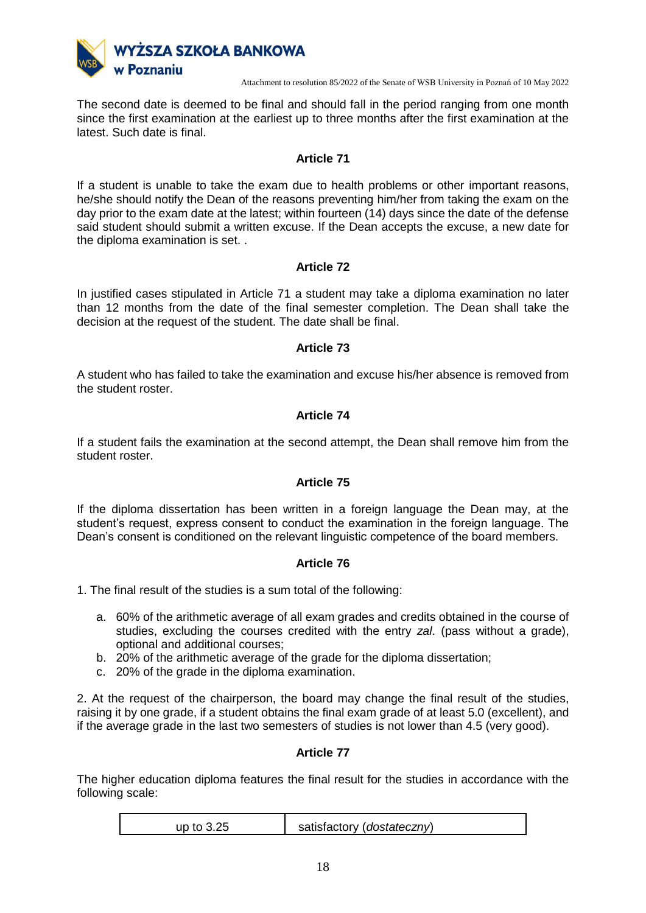

The second date is deemed to be final and should fall in the period ranging from one month since the first examination at the earliest up to three months after the first examination at the latest. Such date is final.

# **Article 71**

If a student is unable to take the exam due to health problems or other important reasons, he/she should notify the Dean of the reasons preventing him/her from taking the exam on the day prior to the exam date at the latest; within fourteen (14) days since the date of the defense said student should submit a written excuse. If the Dean accepts the excuse, a new date for the diploma examination is set. .

# **Article 72**

In justified cases stipulated in Article 71 a student may take a diploma examination no later than 12 months from the date of the final semester completion. The Dean shall take the decision at the request of the student. The date shall be final.

# **Article 73**

A student who has failed to take the examination and excuse his/her absence is removed from the student roster.

# **Article 74**

If a student fails the examination at the second attempt, the Dean shall remove him from the student roster.

# **Article 75**

If the diploma dissertation has been written in a foreign language the Dean may, at the student's request, express consent to conduct the examination in the foreign language. The Dean's consent is conditioned on the relevant linguistic competence of the board members.

# **Article 76**

1. The final result of the studies is a sum total of the following:

- a. 60% of the arithmetic average of all exam grades and credits obtained in the course of studies, excluding the courses credited with the entry *zal*. (pass without a grade), optional and additional courses;
- b. 20% of the arithmetic average of the grade for the diploma dissertation;
- c. 20% of the grade in the diploma examination.

2. At the request of the chairperson, the board may change the final result of the studies, raising it by one grade, if a student obtains the final exam grade of at least 5.0 (excellent), and if the average grade in the last two semesters of studies is not lower than 4.5 (very good).

# **Article 77**

The higher education diploma features the final result for the studies in accordance with the following scale:

| satisfactory ( <i>dostateczny</i> )<br>up to 3.25 |
|---------------------------------------------------|
|---------------------------------------------------|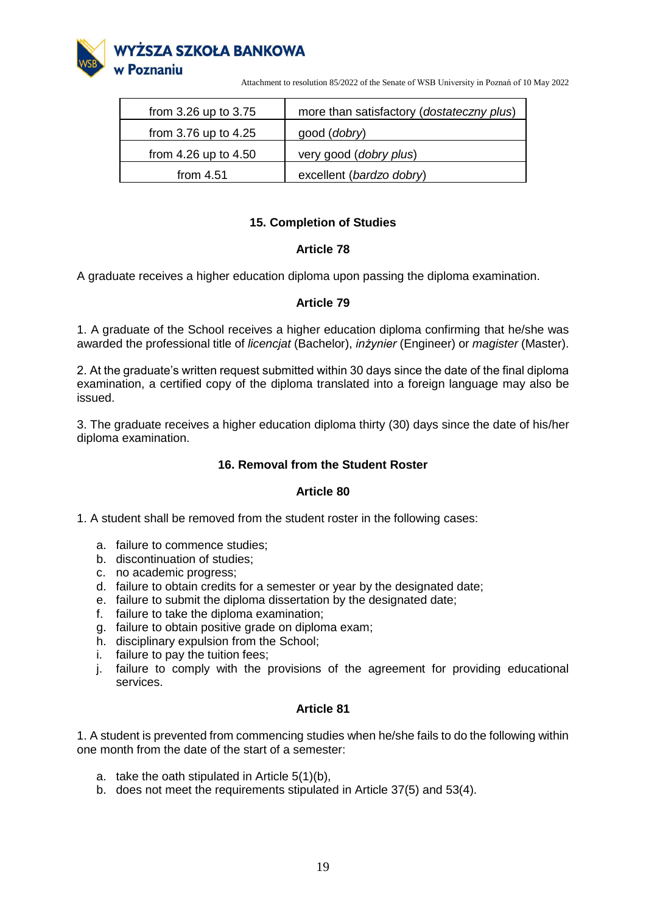

| from 3.26 up to 3.75     | more than satisfactory (dostateczny plus) |
|--------------------------|-------------------------------------------|
| from 3.76 up to 4.25     | good ( <i>dobry</i> )                     |
| from $4.26$ up to $4.50$ | very good (dobry plus)                    |
| from $4.51$              | excellent (bardzo dobry)                  |

# **15. Completion of Studies**

# **Article 78**

A graduate receives a higher education diploma upon passing the diploma examination.

# **Article 79**

1. A graduate of the School receives a higher education diploma confirming that he/she was awarded the professional title of *licencjat* (Bachelor), *inżynier* (Engineer) or *magister* (Master).

2. At the graduate's written request submitted within 30 days since the date of the final diploma examination, a certified copy of the diploma translated into a foreign language may also be issued.

3. The graduate receives a higher education diploma thirty (30) days since the date of his/her diploma examination.

# **16. Removal from the Student Roster**

#### **Article 80**

1. A student shall be removed from the student roster in the following cases:

- a. failure to commence studies;
- b. discontinuation of studies;
- c. no academic progress;
- d. failure to obtain credits for a semester or year by the designated date;
- e. failure to submit the diploma dissertation by the designated date;
- f. failure to take the diploma examination;
- g. failure to obtain positive grade on diploma exam;
- h. disciplinary expulsion from the School;
- i. failure to pay the tuition fees;
- j. failure to comply with the provisions of the agreement for providing educational services.

# **Article 81**

1. A student is prevented from commencing studies when he/she fails to do the following within one month from the date of the start of a semester:

- a. take the oath stipulated in Article 5(1)(b),
- b. does not meet the requirements stipulated in Article 37(5) and 53(4).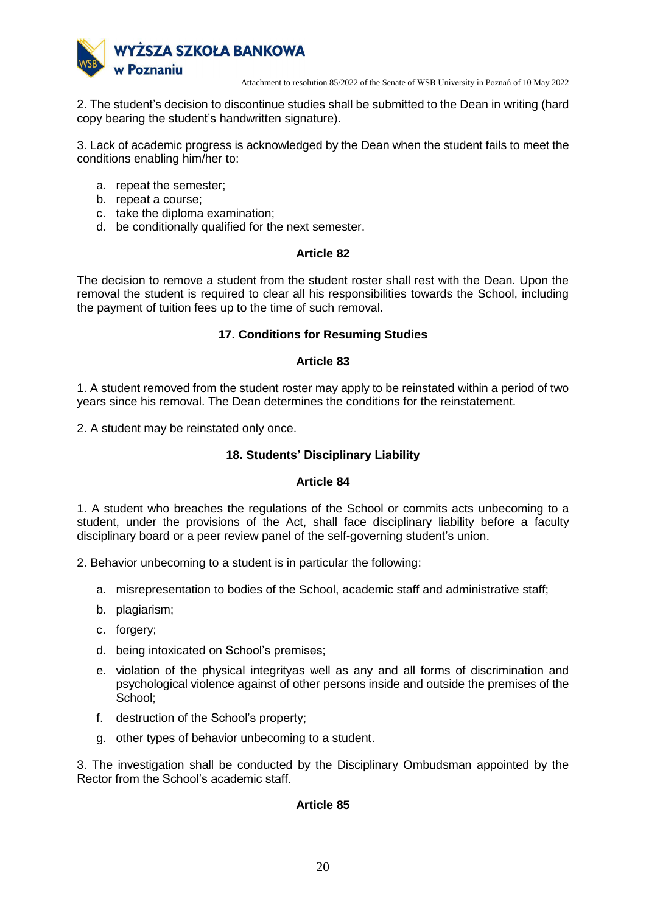

2. The student's decision to discontinue studies shall be submitted to the Dean in writing (hard copy bearing the student's handwritten signature).

3. Lack of academic progress is acknowledged by the Dean when the student fails to meet the conditions enabling him/her to:

- a. repeat the semester;
- b. repeat a course;
- c. take the diploma examination;
- d. be conditionally qualified for the next semester.

### **Article 82**

The decision to remove a student from the student roster shall rest with the Dean. Upon the removal the student is required to clear all his responsibilities towards the School, including the payment of tuition fees up to the time of such removal.

# **17. Conditions for Resuming Studies**

### **Article 83**

1. A student removed from the student roster may apply to be reinstated within a period of two years since his removal. The Dean determines the conditions for the reinstatement.

2. A student may be reinstated only once.

### **18. Students' Disciplinary Liability**

#### **Article 84**

1. A student who breaches the regulations of the School or commits acts unbecoming to a student, under the provisions of the Act, shall face disciplinary liability before a faculty disciplinary board or a peer review panel of the self-governing student's union.

2. Behavior unbecoming to a student is in particular the following:

- a. misrepresentation to bodies of the School, academic staff and administrative staff;
- b. plagiarism;
- c. forgery;
- d. being intoxicated on School's premises;
- e. violation of the physical integrityas well as any and all forms of discrimination and psychological violence against of other persons inside and outside the premises of the School;
- f. destruction of the School's property;
- g. other types of behavior unbecoming to a student.

3. The investigation shall be conducted by the Disciplinary Ombudsman appointed by the Rector from the School's academic staff.